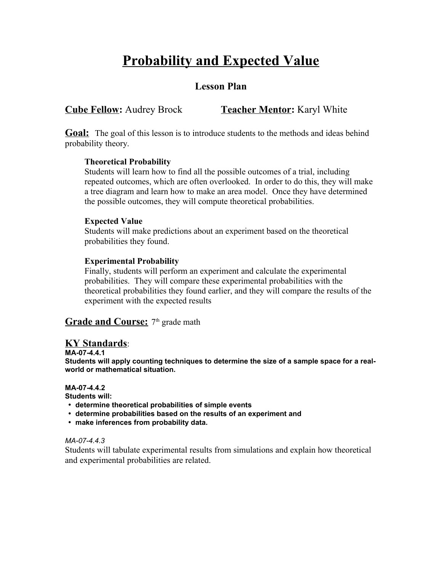# **Probability and Expected Value**

# **Lesson Plan**

# **Cube Fellow:** Audrey Brock **Teacher Mentor:** Karyl White

**Goal:** The goal of this lesson is to introduce students to the methods and ideas behind probability theory.

#### **Theoretical Probability**

Students will learn how to find all the possible outcomes of a trial, including repeated outcomes, which are often overlooked. In order to do this, they will make a tree diagram and learn how to make an area model. Once they have determined the possible outcomes, they will compute theoretical probabilities.

#### **Expected Value**

Students will make predictions about an experiment based on the theoretical probabilities they found.

#### **Experimental Probability**

Finally, students will perform an experiment and calculate the experimental probabilities. They will compare these experimental probabilities with the theoretical probabilities they found earlier, and they will compare the results of the experiment with the expected results

#### Grade and Course: 7<sup>th</sup> grade math

#### **KY Standards**:

**MA-07-4.4.1**

**Students will apply counting techniques to determine the size of a sample space for a realworld or mathematical situation.**

#### **MA-07-4.4.2**

**Students will:**

- **determine theoretical probabilities of simple events**
- **determine probabilities based on the results of an experiment and**
- **make inferences from probability data.**

#### *MA-07-4.4.3*

Students will tabulate experimental results from simulations and explain how theoretical and experimental probabilities are related.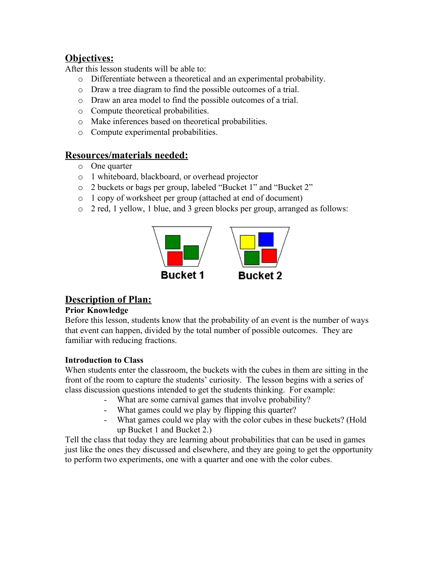# **Objectives:**

After this lesson students will be able to:

- o Differentiate between a theoretical and an experimental probability.
- o Draw a tree diagram to find the possible outcomes of a trial.
- o Draw an area model to find the possible outcomes of a trial.
- o Compute theoretical probabilities.
- o Make inferences based on theoretical probabilities.
- o Compute experimental probabilities.

## **Resources/materials needed:**

- o One quarter
- o 1 whiteboard, blackboard, or overhead projector
- o 2 buckets or bags per group, labeled "Bucket 1" and "Bucket 2"
- o 1 copy of worksheet per group (attached at end of document)
- o 2 red, 1 yellow, 1 blue, and 3 green blocks per group, arranged as follows:



# **Description of Plan:**

#### **Prior Knowledge**

Before this lesson, students know that the probability of an event is the number of ways that event can happen, divided by the total number of possible outcomes. They are familiar with reducing fractions.

#### **Introduction to Class**

When students enter the classroom, the buckets with the cubes in them are sitting in the front of the room to capture the students' curiosity. The lesson begins with a series of class discussion questions intended to get the students thinking. For example:

- What are some carnival games that involve probability?
- What games could we play by flipping this quarter?
- What games could we play with the color cubes in these buckets? (Hold up Bucket 1 and Bucket 2.)

Tell the class that today they are learning about probabilities that can be used in games just like the ones they discussed and elsewhere, and they are going to get the opportunity to perform two experiments, one with a quarter and one with the color cubes.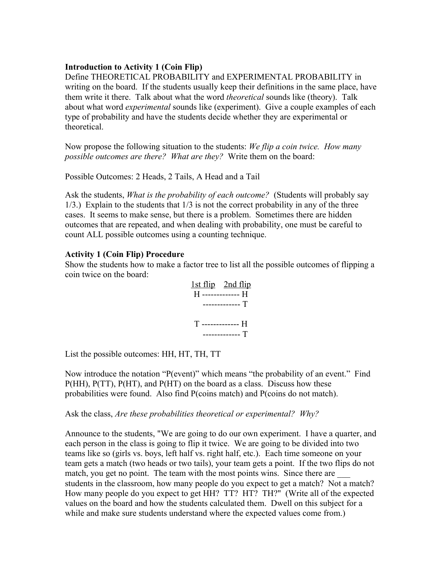#### **Introduction to Activity 1 (Coin Flip)**

Define THEORETICAL PROBABILITY and EXPERIMENTAL PROBABILITY in writing on the board. If the students usually keep their definitions in the same place, have them write it there. Talk about what the word *theoretical* sounds like (theory). Talk about what word *experimental* sounds like (experiment). Give a couple examples of each type of probability and have the students decide whether they are experimental or theoretical.

Now propose the following situation to the students: *We flip a coin twice. How many possible outcomes are there? What are they?* Write them on the board:

Possible Outcomes: 2 Heads, 2 Tails, A Head and a Tail

Ask the students, *What is the probability of each outcome?* (Students will probably say 1/3.) Explain to the students that 1/3 is not the correct probability in any of the three cases. It seems to make sense, but there is a problem. Sometimes there are hidden outcomes that are repeated, and when dealing with probability, one must be careful to count ALL possible outcomes using a counting technique.

#### **Activity 1 (Coin Flip) Procedure**

Show the students how to make a factor tree to list all the possible outcomes of flipping a coin twice on the board:

| $1st flip$ $2nd flip$              |
|------------------------------------|
| H ------------- H<br>----------- T |
|                                    |
| T -------------- H                 |
| T                                  |

List the possible outcomes: HH, HT, TH, TT

Now introduce the notation "P(event)" which means "the probability of an event." Find P(HH), P(TT), P(HT), and P(HT) on the board as a class. Discuss how these probabilities were found. Also find P(coins match) and P(coins do not match).

Ask the class, *Are these probabilities theoretical or experimental? Why?*

Announce to the students, "We are going to do our own experiment. I have a quarter, and each person in the class is going to flip it twice. We are going to be divided into two teams like so (girls vs. boys, left half vs. right half, etc.). Each time someone on your team gets a match (two heads or two tails), your team gets a point. If the two flips do not match, you get no point. The team with the most points wins. Since there are students in the classroom, how many people do you expect to get a match? Not a match? How many people do you expect to get HH? TT? HT? TH?" (Write all of the expected values on the board and how the students calculated them. Dwell on this subject for a while and make sure students understand where the expected values come from.)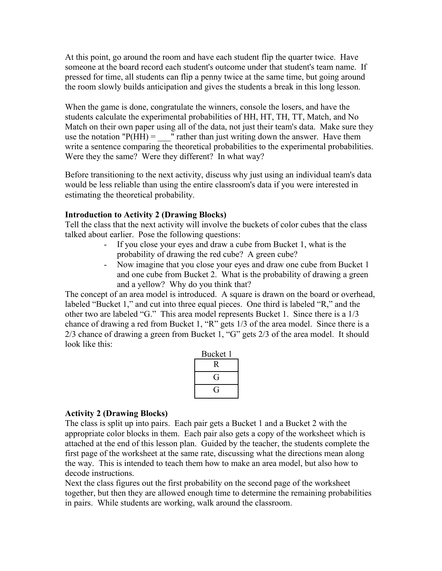At this point, go around the room and have each student flip the quarter twice. Have someone at the board record each student's outcome under that student's team name. If pressed for time, all students can flip a penny twice at the same time, but going around the room slowly builds anticipation and gives the students a break in this long lesson.

When the game is done, congratulate the winners, console the losers, and have the students calculate the experimental probabilities of HH, HT, TH, TT, Match, and No Match on their own paper using all of the data, not just their team's data. Make sure they use the notation " $P(HH) =$  " rather than just writing down the answer. Have them write a sentence comparing the theoretical probabilities to the experimental probabilities. Were they the same? Were they different? In what way?

Before transitioning to the next activity, discuss why just using an individual team's data would be less reliable than using the entire classroom's data if you were interested in estimating the theoretical probability.

#### **Introduction to Activity 2 (Drawing Blocks)**

Tell the class that the next activity will involve the buckets of color cubes that the class talked about earlier. Pose the following questions:

- If you close your eyes and draw a cube from Bucket 1, what is the probability of drawing the red cube? A green cube?
- Now imagine that you close your eyes and draw one cube from Bucket 1 and one cube from Bucket 2. What is the probability of drawing a green and a yellow? Why do you think that?

The concept of an area model is introduced. A square is drawn on the board or overhead, labeled "Bucket 1," and cut into three equal pieces. One third is labeled "R," and the other two are labeled "G." This area model represents Bucket 1. Since there is a 1/3 chance of drawing a red from Bucket 1, "R" gets 1/3 of the area model. Since there is a 2/3 chance of drawing a green from Bucket 1, "G" gets 2/3 of the area model. It should look like this:

| Bucket 1 |
|----------|
|          |
|          |
|          |

#### **Activity 2 (Drawing Blocks)**

The class is split up into pairs. Each pair gets a Bucket 1 and a Bucket 2 with the appropriate color blocks in them. Each pair also gets a copy of the worksheet which is attached at the end of this lesson plan. Guided by the teacher, the students complete the first page of the worksheet at the same rate, discussing what the directions mean along the way. This is intended to teach them how to make an area model, but also how to decode instructions.

Next the class figures out the first probability on the second page of the worksheet together, but then they are allowed enough time to determine the remaining probabilities in pairs. While students are working, walk around the classroom.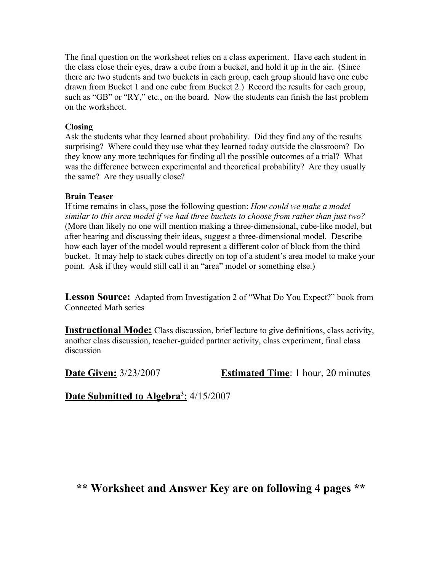The final question on the worksheet relies on a class experiment. Have each student in the class close their eyes, draw a cube from a bucket, and hold it up in the air. (Since there are two students and two buckets in each group, each group should have one cube drawn from Bucket 1 and one cube from Bucket 2.) Record the results for each group, such as "GB" or "RY," etc., on the board. Now the students can finish the last problem on the worksheet.

#### **Closing**

Ask the students what they learned about probability. Did they find any of the results surprising? Where could they use what they learned today outside the classroom? Do they know any more techniques for finding all the possible outcomes of a trial? What was the difference between experimental and theoretical probability? Are they usually the same? Are they usually close?

#### **Brain Teaser**

If time remains in class, pose the following question: *How could we make a model similar to this area model if we had three buckets to choose from rather than just two?* (More than likely no one will mention making a three-dimensional, cube-like model, but after hearing and discussing their ideas, suggest a three-dimensional model. Describe how each layer of the model would represent a different color of block from the third bucket. It may help to stack cubes directly on top of a student's area model to make your point. Ask if they would still call it an "area" model or something else.)

**Lesson Source:** Adapted from Investigation 2 of "What Do You Expect?" book from Connected Math series

**Instructional Mode:** Class discussion, brief lecture to give definitions, class activity, another class discussion, teacher-guided partner activity, class experiment, final class discussion

**Date Given:** 3/23/2007 **Estimated Time**: 1 hour, 20 minutes

 **Date Submitted to Algebra<sup>3</sup> :** 4/15/2007

**\*\* Worksheet and Answer Key are on following 4 pages \*\***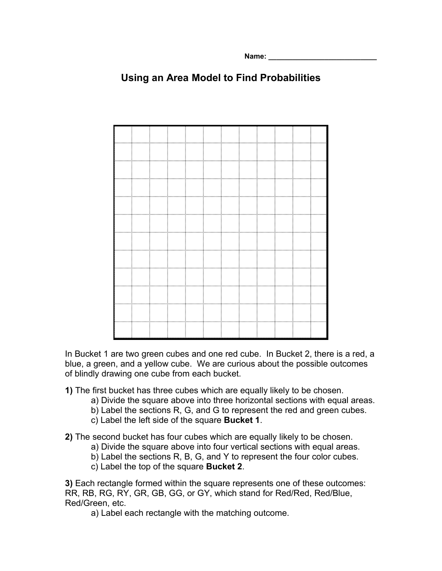**Name: \_\_\_\_\_\_\_\_\_\_\_\_\_\_\_\_\_\_\_\_\_\_\_\_\_\_\_**

# **Using an Area Model to Find Probabilities**



In Bucket 1 are two green cubes and one red cube. In Bucket 2, there is a red, a blue, a green, and a yellow cube. We are curious about the possible outcomes of blindly drawing one cube from each bucket.

- **1)** The first bucket has three cubes which are equally likely to be chosen.
	- a) Divide the square above into three horizontal sections with equal areas.
	- b) Label the sections R, G, and G to represent the red and green cubes.
	- c) Label the left side of the square **Bucket 1**.

**2)** The second bucket has four cubes which are equally likely to be chosen.

- a) Divide the square above into four vertical sections with equal areas.
- b) Label the sections R, B, G, and Y to represent the four color cubes.
- c) Label the top of the square **Bucket 2**.

**3)** Each rectangle formed within the square represents one of these outcomes: RR, RB, RG, RY, GR, GB, GG, or GY, which stand for Red/Red, Red/Blue, Red/Green, etc.

a) Label each rectangle with the matching outcome.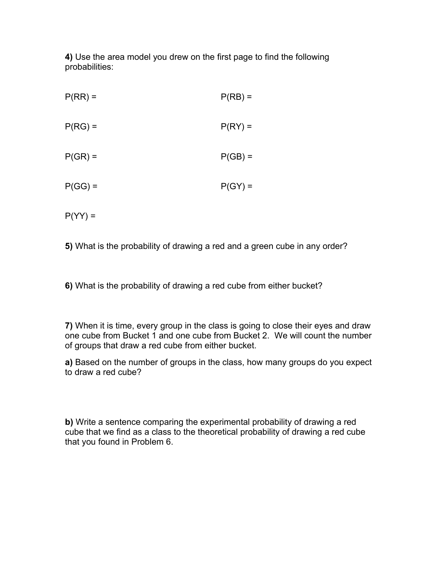**4)** Use the area model you drew on the first page to find the following probabilities:

| $P(RR) =$ | $P(RB) =$ |
|-----------|-----------|
| $P(RG) =$ | $P(RY) =$ |
| $P(GR) =$ | $P(GB) =$ |
| $P(GG) =$ | $P(GY) =$ |
| $P(YY) =$ |           |

**5)** What is the probability of drawing a red and a green cube in any order?

**6)** What is the probability of drawing a red cube from either bucket?

**7)** When it is time, every group in the class is going to close their eyes and draw one cube from Bucket 1 and one cube from Bucket 2. We will count the number of groups that draw a red cube from either bucket.

**a)** Based on the number of groups in the class, how many groups do you expect to draw a red cube?

**b)** Write a sentence comparing the experimental probability of drawing a red cube that we find as a class to the theoretical probability of drawing a red cube that you found in Problem 6.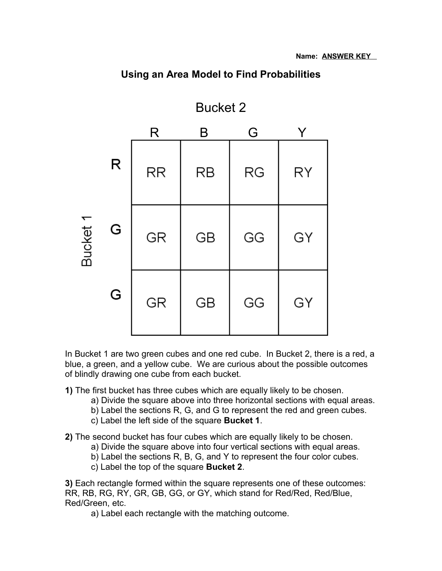

# **Using an Area Model to Find Probabilities**

In Bucket 1 are two green cubes and one red cube. In Bucket 2, there is a red, a blue, a green, and a yellow cube. We are curious about the possible outcomes of blindly drawing one cube from each bucket.

- **1)** The first bucket has three cubes which are equally likely to be chosen.
	- a) Divide the square above into three horizontal sections with equal areas.
	- b) Label the sections R, G, and G to represent the red and green cubes.
	- c) Label the left side of the square **Bucket 1**.

**2)** The second bucket has four cubes which are equally likely to be chosen.

- a) Divide the square above into four vertical sections with equal areas.
- b) Label the sections R, B, G, and Y to represent the four color cubes.
- c) Label the top of the square **Bucket 2**.

**3)** Each rectangle formed within the square represents one of these outcomes: RR, RB, RG, RY, GR, GB, GG, or GY, which stand for Red/Red, Red/Blue, Red/Green, etc.

a) Label each rectangle with the matching outcome.